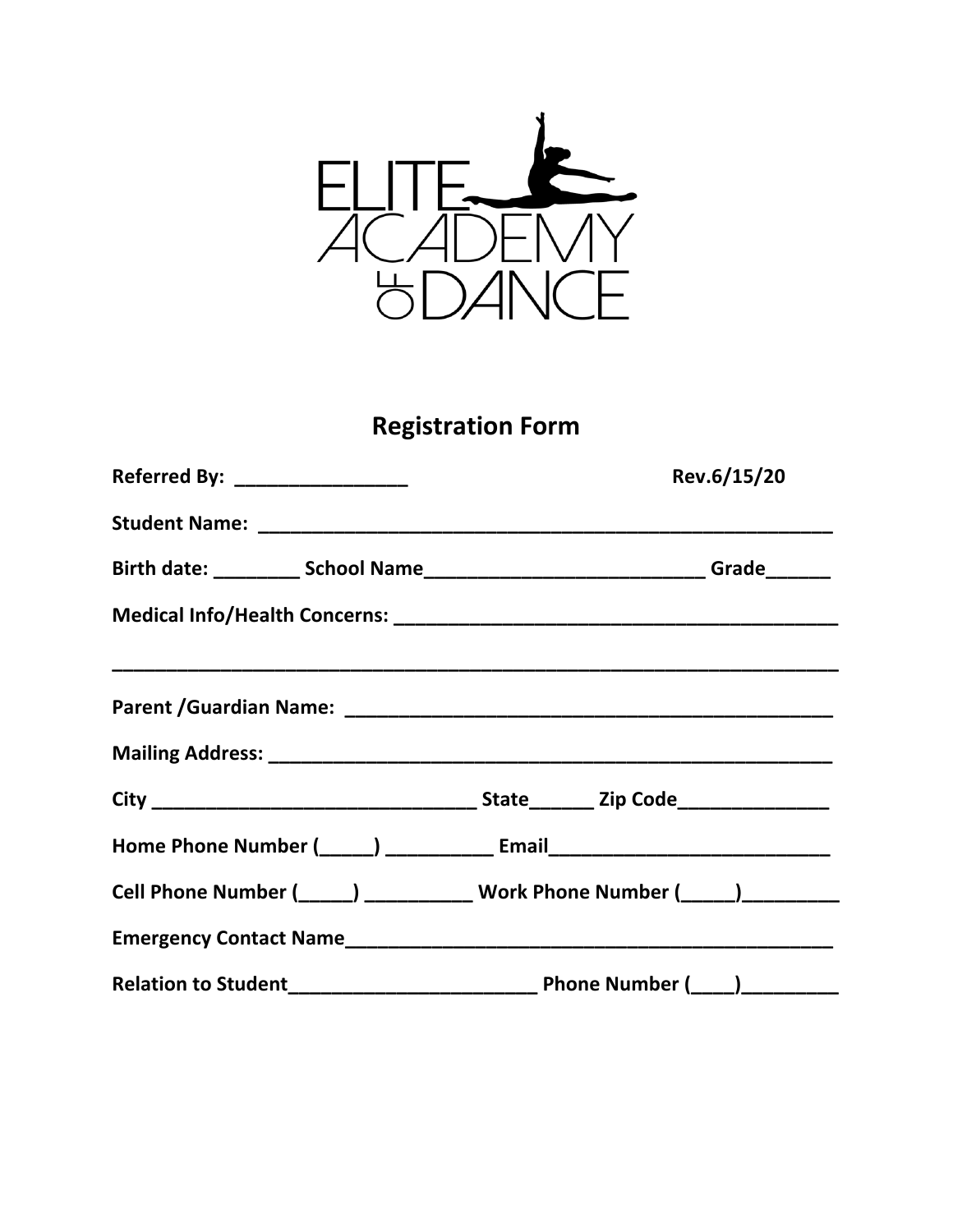

# **Registration Form**

| Referred By: __________________ | Rev.6/15/20                                                                      |  |  |  |
|---------------------------------|----------------------------------------------------------------------------------|--|--|--|
|                                 |                                                                                  |  |  |  |
|                                 |                                                                                  |  |  |  |
|                                 |                                                                                  |  |  |  |
|                                 |                                                                                  |  |  |  |
|                                 |                                                                                  |  |  |  |
|                                 |                                                                                  |  |  |  |
|                                 | Home Phone Number (_____) ______________ Email__________________________________ |  |  |  |
|                                 | Cell Phone Number (_____) ___________ Work Phone Number (____) _________         |  |  |  |
|                                 |                                                                                  |  |  |  |
|                                 |                                                                                  |  |  |  |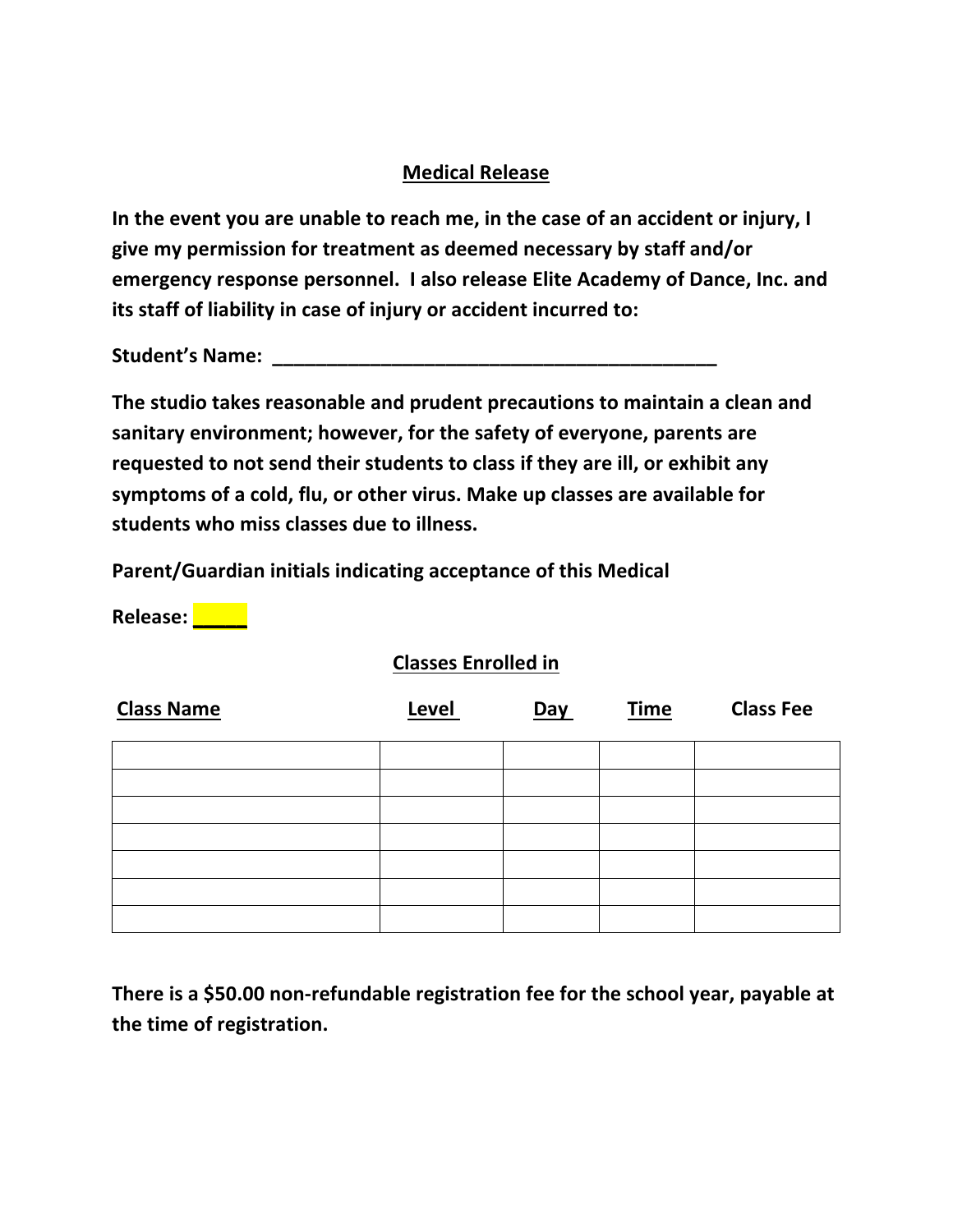## **Medical Release**

**In the event you are unable to reach me, in the case of an accident or injury, I give my permission for treatment as deemed necessary by staff and/or emergency response personnel. I also release Elite Academy of Dance, Inc. and its staff of liability in case of injury or accident incurred to:**

Student's Name: **We also construct that the student's Name:**  $\mathbf{C} = \mathbf{C} \mathbf{C} \mathbf{C} \mathbf{C}$ 

**The studio takes reasonable and prudent precautions to maintain a clean and sanitary environment; however, for the safety of everyone, parents are requested to not send their students to class if they are ill, or exhibit any symptoms of a cold, flu, or other virus. Make up classes are available for students who miss classes due to illness.**

**Parent/Guardian initials indicating acceptance of this Medical** 

**Release: \_\_\_\_\_**

#### **Classes Enrolled in**

| <b>Class Name</b> | Level | <b>Day</b> | <b>Time</b> | <b>Class Fee</b> |
|-------------------|-------|------------|-------------|------------------|
|                   |       |            |             |                  |
|                   |       |            |             |                  |
|                   |       |            |             |                  |
|                   |       |            |             |                  |
|                   |       |            |             |                  |
|                   |       |            |             |                  |
|                   |       |            |             |                  |

**There is a \$50.00 non-refundable registration fee for the school year, payable at the time of registration.**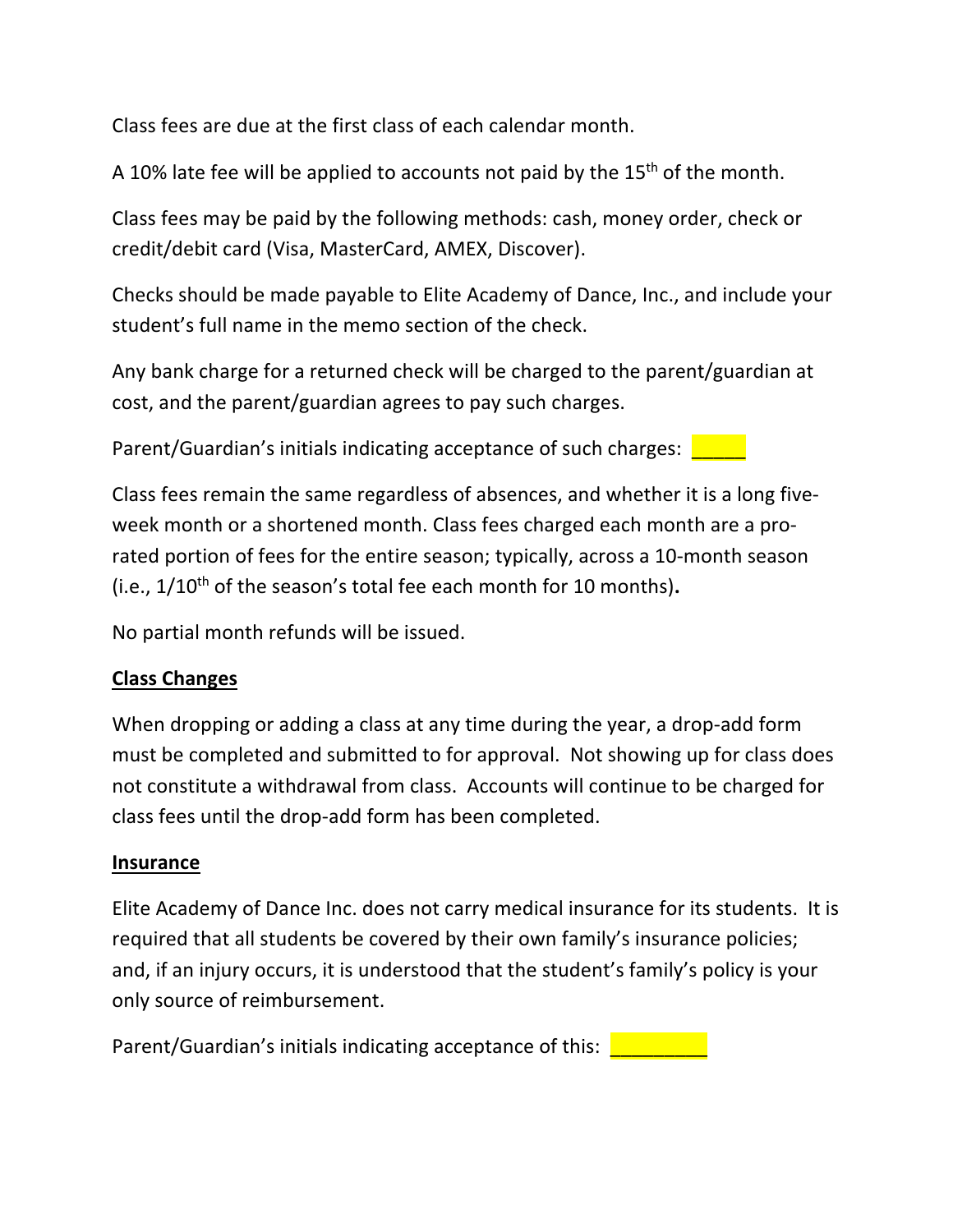Class fees are due at the first class of each calendar month.

A 10% late fee will be applied to accounts not paid by the 15<sup>th</sup> of the month.

Class fees may be paid by the following methods: cash, money order, check or credit/debit card (Visa, MasterCard, AMEX, Discover).

Checks should be made payable to Elite Academy of Dance, Inc., and include your student's full name in the memo section of the check.

Any bank charge for a returned check will be charged to the parent/guardian at cost, and the parent/guardian agrees to pay such charges.

Parent/Guardian's initials indicating acceptance of such charges:

Class fees remain the same regardless of absences, and whether it is a long fiveweek month or a shortened month. Class fees charged each month are a prorated portion of fees for the entire season; typically, across a 10-month season (i.e., 1/10th of the season's total fee each month for 10 months)**.**

No partial month refunds will be issued.

# **Class Changes**

When dropping or adding a class at any time during the year, a drop-add form must be completed and submitted to for approval. Not showing up for class does not constitute a withdrawal from class. Accounts will continue to be charged for class fees until the drop-add form has been completed.

#### **Insurance**

Elite Academy of Dance Inc. does not carry medical insurance for its students. It is required that all students be covered by their own family's insurance policies; and, if an injury occurs, it is understood that the student's family's policy is your only source of reimbursement.

Parent/Guardian's initials indicating acceptance of this: **Letting**